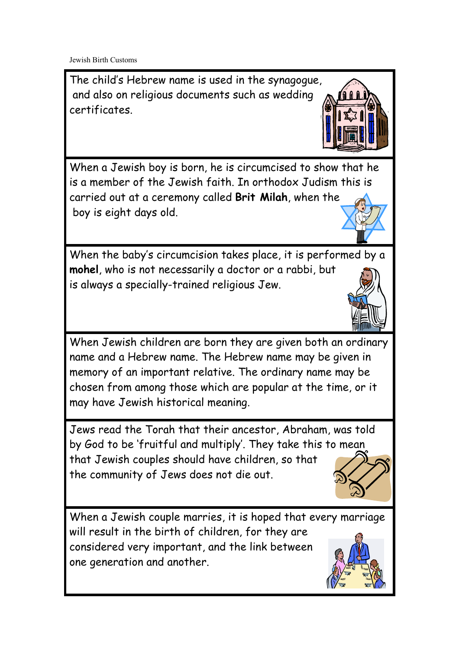Jewish Birth Customs

The child's Hebrew name is used in the synagogue, and also on religious documents such as wedding certificates.



When a Jewish boy is born, he is circumcised to show that he is a member of the Jewish faith. In orthodox Judism this is carried out at a ceremony called **Brit Milah**, when the boy is eight days old.

When the baby's circumcision takes place, it is performed by a **mohel**, who is not necessarily a doctor or a rabbi, but is always a specially-trained religious Jew.



When Jewish children are born they are given both an ordinary name and a Hebrew name. The Hebrew name may be given in memory of an important relative. The ordinary name may be chosen from among those which are popular at the time, or it may have Jewish historical meaning.

Jews read the Torah that their ancestor, Abraham, was told by God to be 'fruitful and multiply'. They take this to mean that Jewish couples should have children, so that the community of Jews does not die out.



When a Jewish couple marries, it is hoped that every marriage will result in the birth of children, for they are considered very important, and the link between one generation and another.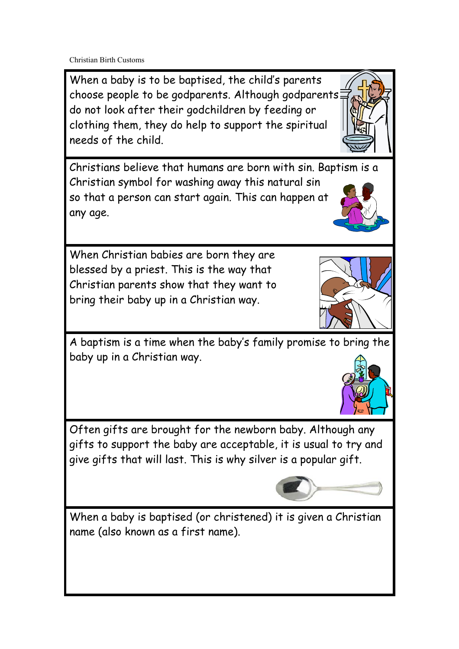Christian Birth Customs

When a baby is to be baptised, the child's parents choose people to be godparents. Although godparents do not look after their godchildren by feeding or clothing them, they do help to support the spiritual needs of the child.

Christians believe that humans are born with sin. Baptism is a Christian symbol for washing away this natural sin so that a person can start again. This can happen at any age.

When Christian babies are born they are blessed by a priest. This is the way that Christian parents show that they want to bring their baby up in a Christian way.

A baptism is a time when the baby's family promise to bring the baby up in a Christian way.

Often gifts are brought for the newborn baby. Although any gifts to support the baby are acceptable, it is usual to try and give gifts that will last. This is why silver is a popular gift.

When a baby is baptised (or christened) it is given a Christian name (also known as a first name).







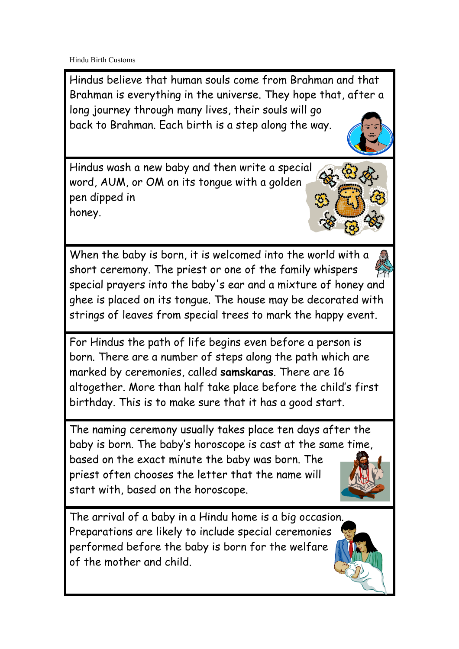Hindu Birth Customs

Hindus believe that human souls come from Brahman and that Brahman is everything in the universe. They hope that, after a long journey through many lives, their souls will go back to Brahman. Each birth is a step along the way.

Hindus wash a new baby and then write a special word, AUM, or OM on its tongue with a golden pen dipped in honey.

When the baby is born, it is welcomed into the world with a short ceremony. The priest or one of the family whispers special prayers into the baby's ear and a mixture of honey and ghee is placed on its tongue. The house may be decorated with strings of leaves from special trees to mark the happy event.

For Hindus the path of life begins even before a person is born. There are a number of steps along the path which are marked by ceremonies, called **samskaras**. There are 16 altogether. More than half take place before the child's first birthday. This is to make sure that it has a good start.

The naming ceremony usually takes place ten days after the baby is born. The baby's horoscope is cast at the same time, based on the exact minute the baby was born. The priest often chooses the letter that the name will start with, based on the horoscope.

The arrival of a baby in a Hindu home is a big occasion. Preparations are likely to include special ceremonies performed before the baby is born for the welfare of the mother and child.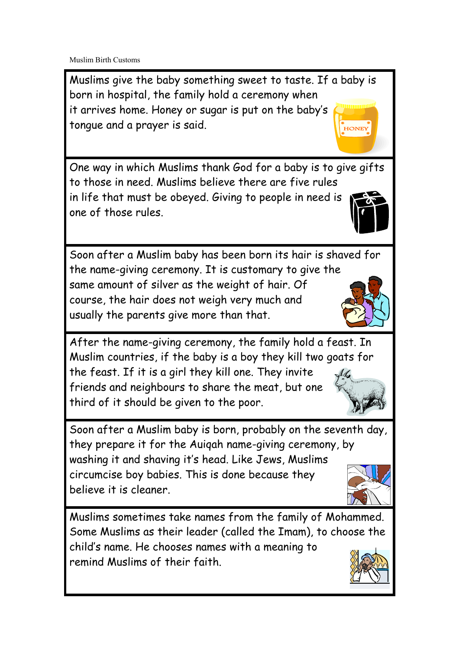Muslim Birth Customs

Muslims give the baby something sweet to taste. If a baby is born in hospital, the family hold a ceremony when it arrives home. Honey or sugar is put on the baby's tongue and a prayer is said. **HONE** 

One way in which Muslims thank God for a baby is to give gifts to those in need. Muslims believe there are five rules in life that must be obeyed. Giving to people in need is one of those rules.

Soon after a Muslim baby has been born its hair is shaved for the name-giving ceremony. It is customary to give the same amount of silver as the weight of hair. Of course, the hair does not weigh very much and usually the parents give more than that.

After the name-giving ceremony, the family hold a feast. In Muslim countries, if the baby is a boy they kill two goats for the feast. If it is a girl they kill one. They invite friends and neighbours to share the meat, but one third of it should be given to the poor.

Soon after a Muslim baby is born, probably on the seventh day, they prepare it for the Auiqah name-giving ceremony, by washing it and shaving it's head. Like Jews, Muslims circumcise boy babies. This is done because they believe it is cleaner.

Muslims sometimes take names from the family of Mohammed. Some Muslims as their leader (called the Imam), to choose the child's name. He chooses names with a meaning to remind Muslims of their faith.